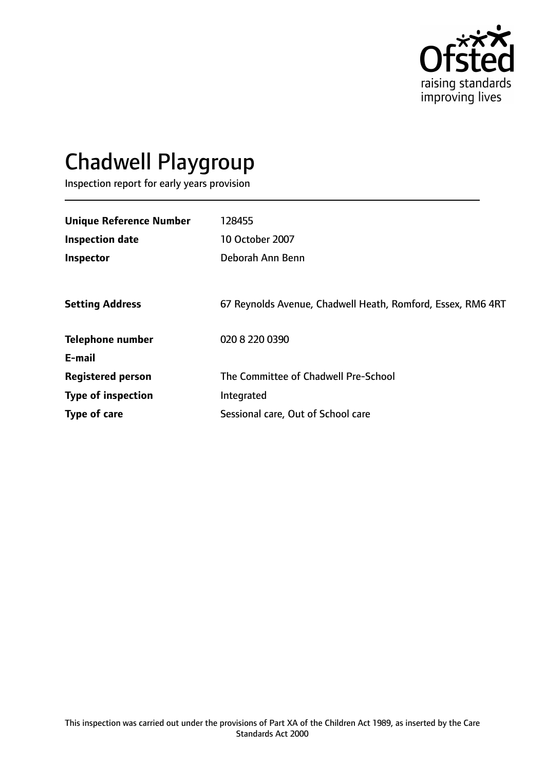

# Chadwell Playgroup

Inspection report for early years provision

| <b>Unique Reference Number</b> | 128455                                                      |
|--------------------------------|-------------------------------------------------------------|
|                                |                                                             |
| <b>Inspection date</b>         | <b>10 October 2007</b>                                      |
| Inspector                      | Deborah Ann Benn                                            |
|                                |                                                             |
| <b>Setting Address</b>         | 67 Reynolds Avenue, Chadwell Heath, Romford, Essex, RM6 4RT |
| <b>Telephone number</b>        | 020 8 220 0390                                              |
| E-mail                         |                                                             |
| <b>Registered person</b>       | The Committee of Chadwell Pre-School                        |
| <b>Type of inspection</b>      | Integrated                                                  |
| Type of care                   | Sessional care, Out of School care                          |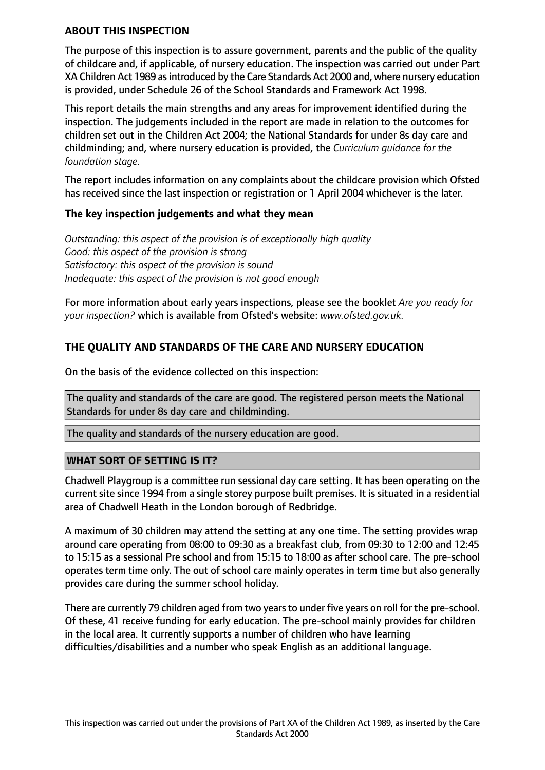### **ABOUT THIS INSPECTION**

The purpose of this inspection is to assure government, parents and the public of the quality of childcare and, if applicable, of nursery education. The inspection was carried out under Part XA Children Act 1989 asintroduced by the Care Standards Act 2000 and, where nursery education is provided, under Schedule 26 of the School Standards and Framework Act 1998.

This report details the main strengths and any areas for improvement identified during the inspection. The judgements included in the report are made in relation to the outcomes for children set out in the Children Act 2004; the National Standards for under 8s day care and childminding; and, where nursery education is provided, the *Curriculum guidance for the foundation stage.*

The report includes information on any complaints about the childcare provision which Ofsted has received since the last inspection or registration or 1 April 2004 whichever is the later.

## **The key inspection judgements and what they mean**

*Outstanding: this aspect of the provision is of exceptionally high quality Good: this aspect of the provision is strong Satisfactory: this aspect of the provision is sound Inadequate: this aspect of the provision is not good enough*

For more information about early years inspections, please see the booklet *Are you ready for your inspection?* which is available from Ofsted's website: *www.ofsted.gov.uk.*

# **THE QUALITY AND STANDARDS OF THE CARE AND NURSERY EDUCATION**

On the basis of the evidence collected on this inspection:

The quality and standards of the care are good. The registered person meets the National Standards for under 8s day care and childminding.

The quality and standards of the nursery education are good.

## **WHAT SORT OF SETTING IS IT?**

Chadwell Playgroup is a committee run sessional day care setting. It has been operating on the current site since 1994 from a single storey purpose built premises. It is situated in a residential area of Chadwell Heath in the London borough of Redbridge.

A maximum of 30 children may attend the setting at any one time. The setting provides wrap around care operating from 08:00 to 09:30 as a breakfast club, from 09:30 to 12:00 and 12:45 to 15:15 as a sessional Pre school and from 15:15 to 18:00 as after school care. The pre-school operates term time only. The out of school care mainly operates in term time but also generally provides care during the summer school holiday.

There are currently 79 children aged from two years to under five years on roll for the pre-school. Of these, 41 receive funding for early education. The pre-school mainly provides for children in the local area. It currently supports a number of children who have learning difficulties/disabilities and a number who speak English as an additional language.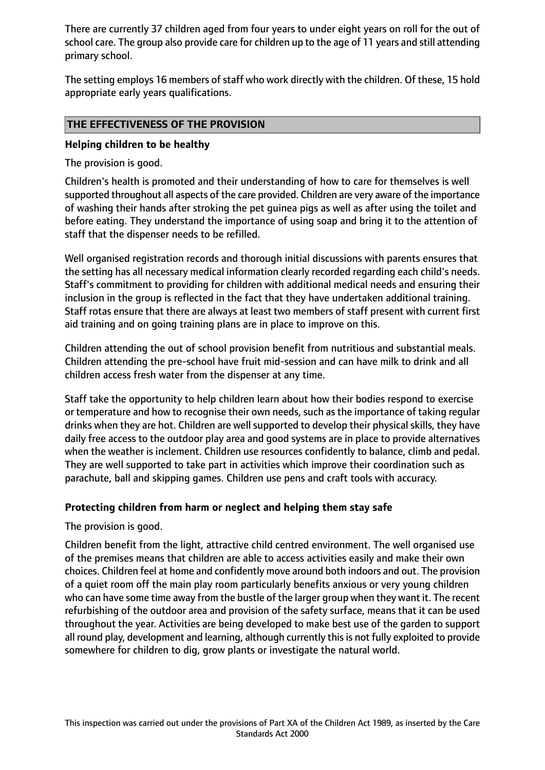There are currently 37 children aged from four years to under eight years on roll for the out of school care. The group also provide care for children up to the age of 11 years and still attending primary school.

The setting employs 16 members of staff who work directly with the children. Of these, 15 hold appropriate early years qualifications.

# **THE EFFECTIVENESS OF THE PROVISION**

## **Helping children to be healthy**

The provision is good.

Children's health is promoted and their understanding of how to care for themselves is well supported throughout all aspects of the care provided. Children are very aware of the importance of washing their hands after stroking the pet guinea pigs as well as after using the toilet and before eating. They understand the importance of using soap and bring it to the attention of staff that the dispenser needs to be refilled.

Well organised registration records and thorough initial discussions with parents ensures that the setting has all necessary medical information clearly recorded regarding each child's needs. Staff's commitment to providing for children with additional medical needs and ensuring their inclusion in the group is reflected in the fact that they have undertaken additional training. Staff rotas ensure that there are always at least two members of staff present with current first aid training and on going training plans are in place to improve on this.

Children attending the out of school provision benefit from nutritious and substantial meals. Children attending the pre-school have fruit mid-session and can have milk to drink and all children access fresh water from the dispenser at any time.

Staff take the opportunity to help children learn about how their bodies respond to exercise or temperature and how to recognise their own needs, such as the importance of taking regular drinks when they are hot. Children are well supported to develop their physical skills, they have daily free access to the outdoor play area and good systems are in place to provide alternatives when the weather is inclement. Children use resources confidently to balance, climb and pedal. They are well supported to take part in activities which improve their coordination such as parachute, ball and skipping games. Children use pens and craft tools with accuracy.

## **Protecting children from harm or neglect and helping them stay safe**

The provision is good.

Children benefit from the light, attractive child centred environment. The well organised use of the premises means that children are able to access activities easily and make their own choices. Children feel at home and confidently move around both indoors and out. The provision of a quiet room off the main play room particularly benefits anxious or very young children who can have some time away from the bustle of the larger group when they want it. The recent refurbishing of the outdoor area and provision of the safety surface, means that it can be used throughout the year. Activities are being developed to make best use of the garden to support all round play, development and learning, although currently this is not fully exploited to provide somewhere for children to dig, grow plants or investigate the natural world.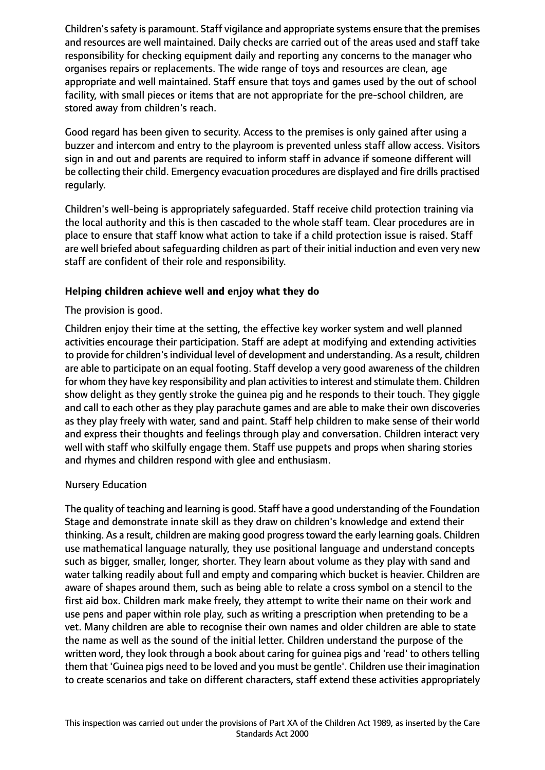Children'ssafety is paramount. Staff vigilance and appropriate systems ensure that the premises and resources are well maintained. Daily checks are carried out of the areas used and staff take responsibility for checking equipment daily and reporting any concerns to the manager who organises repairs or replacements. The wide range of toys and resources are clean, age appropriate and well maintained. Staff ensure that toys and games used by the out of school facility, with small pieces or items that are not appropriate for the pre-school children, are stored away from children's reach.

Good regard has been given to security. Access to the premises is only gained after using a buzzer and intercom and entry to the playroom is prevented unless staff allow access. Visitors sign in and out and parents are required to inform staff in advance if someone different will be collecting their child. Emergency evacuation procedures are displayed and fire drills practised regularly.

Children's well-being is appropriately safeguarded. Staff receive child protection training via the local authority and this is then cascaded to the whole staff team. Clear procedures are in place to ensure that staff know what action to take if a child protection issue is raised. Staff are well briefed about safeguarding children as part of their initial induction and even very new staff are confident of their role and responsibility.

## **Helping children achieve well and enjoy what they do**

The provision is good.

Children enjoy their time at the setting, the effective key worker system and well planned activities encourage their participation. Staff are adept at modifying and extending activities to provide for children's individual level of development and understanding. As a result, children are able to participate on an equal footing. Staff develop a very good awareness of the children for whom they have key responsibility and plan activities to interest and stimulate them. Children show delight as they gently stroke the guinea pig and he responds to their touch. They giggle and call to each other as they play parachute games and are able to make their own discoveries as they play freely with water, sand and paint. Staff help children to make sense of their world and express their thoughts and feelings through play and conversation. Children interact very well with staff who skilfully engage them. Staff use puppets and props when sharing stories and rhymes and children respond with glee and enthusiasm.

#### Nursery Education

The quality of teaching and learning is good. Staff have a good understanding of the Foundation Stage and demonstrate innate skill as they draw on children's knowledge and extend their thinking. As a result, children are making good progresstoward the early learning goals. Children use mathematical language naturally, they use positional language and understand concepts such as bigger, smaller, longer, shorter. They learn about volume as they play with sand and water talking readily about full and empty and comparing which bucket is heavier. Children are aware of shapes around them, such as being able to relate a cross symbol on a stencil to the first aid box. Children mark make freely, they attempt to write their name on their work and use pens and paper within role play, such as writing a prescription when pretending to be a vet. Many children are able to recognise their own names and older children are able to state the name as well as the sound of the initial letter. Children understand the purpose of the written word, they look through a book about caring for guinea pigs and 'read' to others telling them that 'Guinea pigs need to be loved and you must be gentle'. Children use their imagination to create scenarios and take on different characters, staff extend these activities appropriately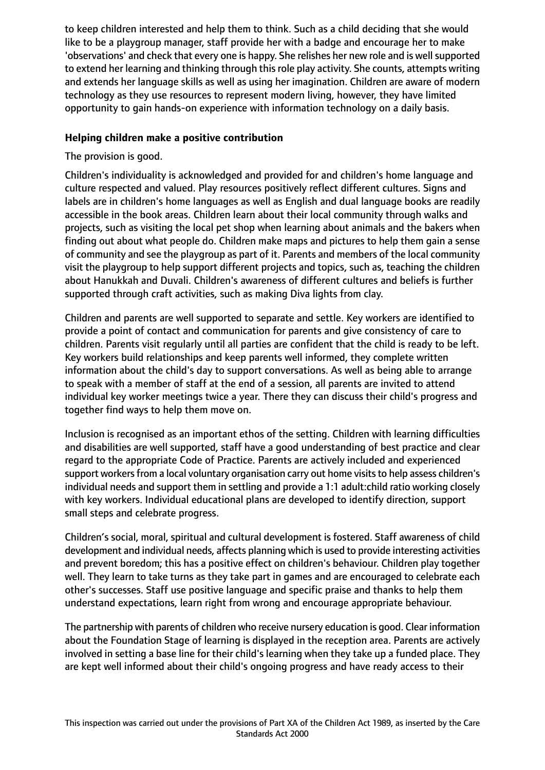to keep children interested and help them to think. Such as a child deciding that she would like to be a playgroup manager, staff provide her with a badge and encourage her to make 'observations' and check that every one is happy. She relishes her new role and is well supported to extend her learning and thinking through this role play activity. She counts, attempts writing and extends her language skills as well as using her imagination. Children are aware of modern technology as they use resources to represent modern living, however, they have limited opportunity to gain hands-on experience with information technology on a daily basis.

## **Helping children make a positive contribution**

The provision is good.

Children's individuality is acknowledged and provided for and children's home language and culture respected and valued. Play resources positively reflect different cultures. Signs and labels are in children's home languages as well as English and dual language books are readily accessible in the book areas. Children learn about their local community through walks and projects, such as visiting the local pet shop when learning about animals and the bakers when finding out about what people do. Children make maps and pictures to help them gain a sense of community and see the playgroup as part of it. Parents and members of the local community visit the playgroup to help support different projects and topics, such as, teaching the children about Hanukkah and Duvali. Children's awareness of different cultures and beliefs is further supported through craft activities, such as making Diva lights from clay.

Children and parents are well supported to separate and settle. Key workers are identified to provide a point of contact and communication for parents and give consistency of care to children. Parents visit regularly until all parties are confident that the child is ready to be left. Key workers build relationships and keep parents well informed, they complete written information about the child's day to support conversations. As well as being able to arrange to speak with a member of staff at the end of a session, all parents are invited to attend individual key worker meetings twice a year. There they can discuss their child's progress and together find ways to help them move on.

Inclusion is recognised as an important ethos of the setting. Children with learning difficulties and disabilities are well supported, staff have a good understanding of best practice and clear regard to the appropriate Code of Practice. Parents are actively included and experienced support workers from a local voluntary organisation carry out home visits to help assess children's individual needs and support them in settling and provide a 1:1 adult:child ratio working closely with key workers. Individual educational plans are developed to identify direction, support small steps and celebrate progress.

Children's social, moral, spiritual and cultural development is fostered. Staff awareness of child development and individual needs, affects planning which is used to provide interesting activities and prevent boredom; this has a positive effect on children's behaviour. Children play together well. They learn to take turns as they take part in games and are encouraged to celebrate each other's successes. Staff use positive language and specific praise and thanks to help them understand expectations, learn right from wrong and encourage appropriate behaviour.

The partnership with parents of children who receive nursery education is good. Clear information about the Foundation Stage of learning is displayed in the reception area. Parents are actively involved in setting a base line for their child's learning when they take up a funded place. They are kept well informed about their child's ongoing progress and have ready access to their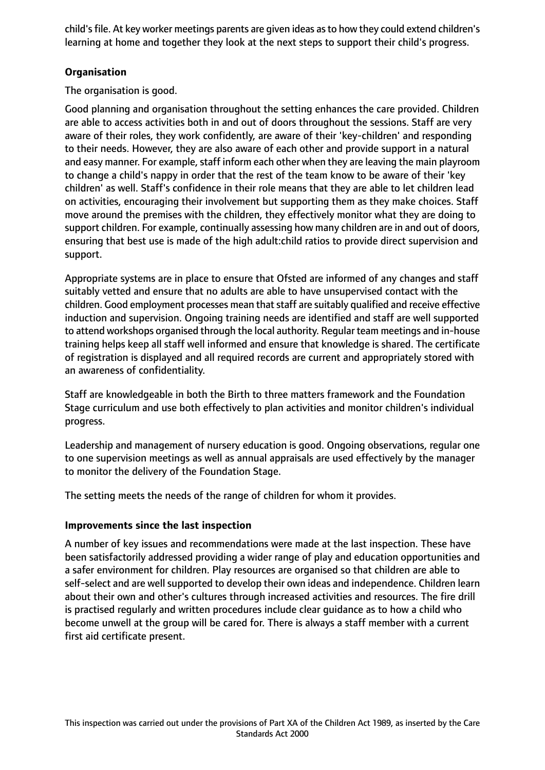child's file. At key worker meetings parents are given ideas as to how they could extend children's learning at home and together they look at the next steps to support their child's progress.

# **Organisation**

The organisation is good.

Good planning and organisation throughout the setting enhances the care provided. Children are able to access activities both in and out of doors throughout the sessions. Staff are very aware of their roles, they work confidently, are aware of their 'key-children' and responding to their needs. However, they are also aware of each other and provide support in a natural and easy manner. For example, staff inform each other when they are leaving the main playroom to change a child's nappy in order that the rest of the team know to be aware of their 'key children' as well. Staff's confidence in their role means that they are able to let children lead on activities, encouraging their involvement but supporting them as they make choices. Staff move around the premises with the children, they effectively monitor what they are doing to support children. For example, continually assessing how many children are in and out of doors, ensuring that best use is made of the high adult:child ratios to provide direct supervision and support.

Appropriate systems are in place to ensure that Ofsted are informed of any changes and staff suitably vetted and ensure that no adults are able to have unsupervised contact with the children. Good employment processes mean that staff are suitably qualified and receive effective induction and supervision. Ongoing training needs are identified and staff are well supported to attend workshops organised through the local authority. Regular team meetings and in-house training helps keep all staff well informed and ensure that knowledge is shared. The certificate of registration is displayed and all required records are current and appropriately stored with an awareness of confidentiality.

Staff are knowledgeable in both the Birth to three matters framework and the Foundation Stage curriculum and use both effectively to plan activities and monitor children's individual progress.

Leadership and management of nursery education is good. Ongoing observations, regular one to one supervision meetings as well as annual appraisals are used effectively by the manager to monitor the delivery of the Foundation Stage.

The setting meets the needs of the range of children for whom it provides.

## **Improvements since the last inspection**

A number of key issues and recommendations were made at the last inspection. These have been satisfactorily addressed providing a wider range of play and education opportunities and a safer environment for children. Play resources are organised so that children are able to self-select and are well supported to develop their own ideas and independence. Children learn about their own and other's cultures through increased activities and resources. The fire drill is practised regularly and written procedures include clear guidance as to how a child who become unwell at the group will be cared for. There is always a staff member with a current first aid certificate present.